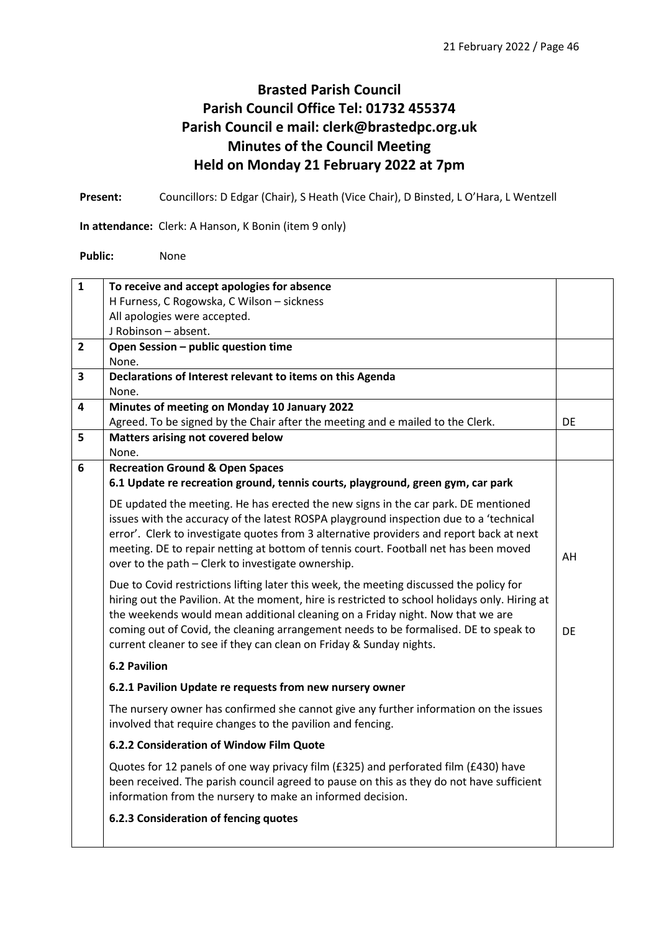# **Brasted Parish Council Parish Council Office Tel: 01732 455374 Parish Council e mail: clerk@brastedpc.org.uk Minutes of the Council Meeting Held on Monday 21 February 2022 at 7pm**

**Present:** Councillors: D Edgar (Chair), S Heath (Vice Chair), D Binsted, L O'Hara, L Wentzell

**In attendance:** Clerk: A Hanson, K Bonin (item 9 only)

**Public:** None

| $\mathbf{1}$   | To receive and accept apologies for absence                                                   |           |
|----------------|-----------------------------------------------------------------------------------------------|-----------|
|                | H Furness, C Rogowska, C Wilson - sickness                                                    |           |
|                | All apologies were accepted.                                                                  |           |
|                | J Robinson - absent.                                                                          |           |
| $\overline{2}$ | Open Session - public question time                                                           |           |
|                | None.                                                                                         |           |
| 3              | Declarations of Interest relevant to items on this Agenda                                     |           |
|                | None.                                                                                         |           |
| 4              | Minutes of meeting on Monday 10 January 2022                                                  |           |
|                | Agreed. To be signed by the Chair after the meeting and e mailed to the Clerk.                | DE        |
| 5              | Matters arising not covered below                                                             |           |
|                | None.                                                                                         |           |
| 6              | <b>Recreation Ground &amp; Open Spaces</b>                                                    |           |
|                | 6.1 Update re recreation ground, tennis courts, playground, green gym, car park               |           |
|                | DE updated the meeting. He has erected the new signs in the car park. DE mentioned            |           |
|                | issues with the accuracy of the latest ROSPA playground inspection due to a 'technical        |           |
|                | error'. Clerk to investigate quotes from 3 alternative providers and report back at next      |           |
|                | meeting. DE to repair netting at bottom of tennis court. Football net has been moved          | AH        |
|                | over to the path - Clerk to investigate ownership.                                            |           |
|                | Due to Covid restrictions lifting later this week, the meeting discussed the policy for       |           |
|                | hiring out the Pavilion. At the moment, hire is restricted to school holidays only. Hiring at |           |
|                | the weekends would mean additional cleaning on a Friday night. Now that we are                |           |
|                | coming out of Covid, the cleaning arrangement needs to be formalised. DE to speak to          | <b>DE</b> |
|                | current cleaner to see if they can clean on Friday & Sunday nights.                           |           |
|                | <b>6.2 Pavilion</b>                                                                           |           |
|                | 6.2.1 Pavilion Update re requests from new nursery owner                                      |           |
|                | The nursery owner has confirmed she cannot give any further information on the issues         |           |
|                | involved that require changes to the pavilion and fencing.                                    |           |
|                | 6.2.2 Consideration of Window Film Quote                                                      |           |
|                | Quotes for 12 panels of one way privacy film (£325) and perforated film (£430) have           |           |
|                | been received. The parish council agreed to pause on this as they do not have sufficient      |           |
|                | information from the nursery to make an informed decision.                                    |           |
|                | 6.2.3 Consideration of fencing quotes                                                         |           |
|                |                                                                                               |           |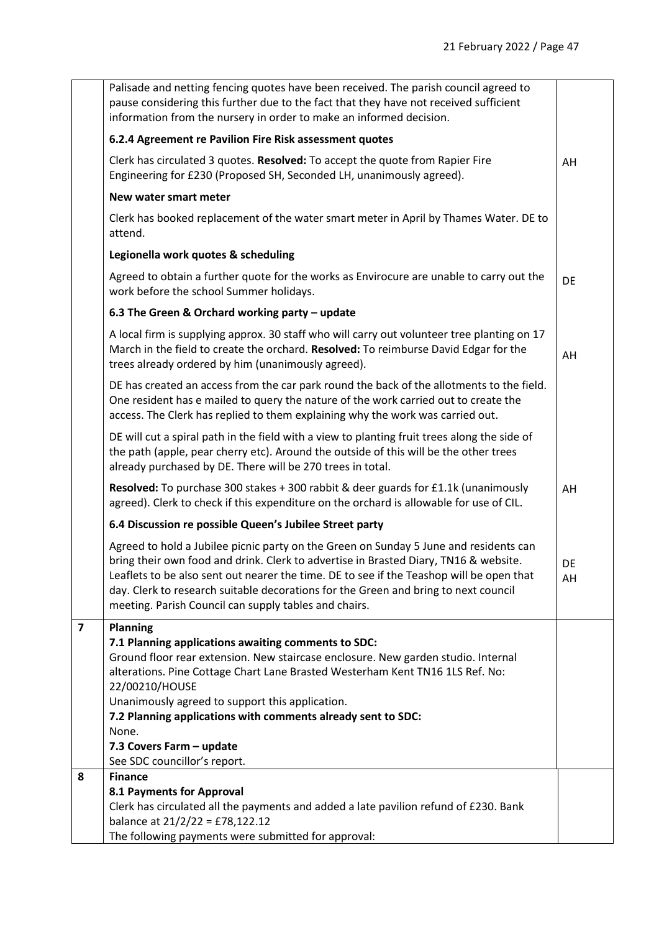|                | Palisade and netting fencing quotes have been received. The parish council agreed to<br>pause considering this further due to the fact that they have not received sufficient<br>information from the nursery in order to make an informed decision.                                                                                                                                                                                                   |           |
|----------------|--------------------------------------------------------------------------------------------------------------------------------------------------------------------------------------------------------------------------------------------------------------------------------------------------------------------------------------------------------------------------------------------------------------------------------------------------------|-----------|
|                | 6.2.4 Agreement re Pavilion Fire Risk assessment quotes                                                                                                                                                                                                                                                                                                                                                                                                |           |
|                | Clerk has circulated 3 quotes. Resolved: To accept the quote from Rapier Fire<br>Engineering for £230 (Proposed SH, Seconded LH, unanimously agreed).                                                                                                                                                                                                                                                                                                  | AH        |
|                | New water smart meter                                                                                                                                                                                                                                                                                                                                                                                                                                  |           |
|                | Clerk has booked replacement of the water smart meter in April by Thames Water. DE to<br>attend.                                                                                                                                                                                                                                                                                                                                                       |           |
|                | Legionella work quotes & scheduling                                                                                                                                                                                                                                                                                                                                                                                                                    |           |
|                | Agreed to obtain a further quote for the works as Envirocure are unable to carry out the<br>work before the school Summer holidays.                                                                                                                                                                                                                                                                                                                    | <b>DE</b> |
|                | 6.3 The Green & Orchard working party - update                                                                                                                                                                                                                                                                                                                                                                                                         |           |
|                | A local firm is supplying approx. 30 staff who will carry out volunteer tree planting on 17<br>March in the field to create the orchard. Resolved: To reimburse David Edgar for the<br>trees already ordered by him (unanimously agreed).                                                                                                                                                                                                              | AH        |
|                | DE has created an access from the car park round the back of the allotments to the field.<br>One resident has e mailed to query the nature of the work carried out to create the<br>access. The Clerk has replied to them explaining why the work was carried out.                                                                                                                                                                                     |           |
|                | DE will cut a spiral path in the field with a view to planting fruit trees along the side of<br>the path (apple, pear cherry etc). Around the outside of this will be the other trees<br>already purchased by DE. There will be 270 trees in total.                                                                                                                                                                                                    |           |
|                | Resolved: To purchase 300 stakes + 300 rabbit & deer guards for £1.1k (unanimously<br>agreed). Clerk to check if this expenditure on the orchard is allowable for use of CIL.                                                                                                                                                                                                                                                                          | AH        |
|                | 6.4 Discussion re possible Queen's Jubilee Street party                                                                                                                                                                                                                                                                                                                                                                                                |           |
|                | Agreed to hold a Jubilee picnic party on the Green on Sunday 5 June and residents can<br>bring their own food and drink. Clerk to advertise in Brasted Diary, TN16 & website.<br>Leaflets to be also sent out nearer the time. DE to see if the Teashop will be open that<br>day. Clerk to research suitable decorations for the Green and bring to next council<br>meeting. Parish Council can supply tables and chairs.                              | DE<br>AH  |
| $\overline{7}$ | <b>Planning</b><br>7.1 Planning applications awaiting comments to SDC:<br>Ground floor rear extension. New staircase enclosure. New garden studio. Internal<br>alterations. Pine Cottage Chart Lane Brasted Westerham Kent TN16 1LS Ref. No:<br>22/00210/HOUSE<br>Unanimously agreed to support this application.<br>7.2 Planning applications with comments already sent to SDC:<br>None.<br>7.3 Covers Farm - update<br>See SDC councillor's report. |           |
| 8              | <b>Finance</b>                                                                                                                                                                                                                                                                                                                                                                                                                                         |           |
|                | 8.1 Payments for Approval<br>Clerk has circulated all the payments and added a late pavilion refund of £230. Bank<br>balance at 21/2/22 = £78,122.12<br>The following payments were submitted for approval:                                                                                                                                                                                                                                            |           |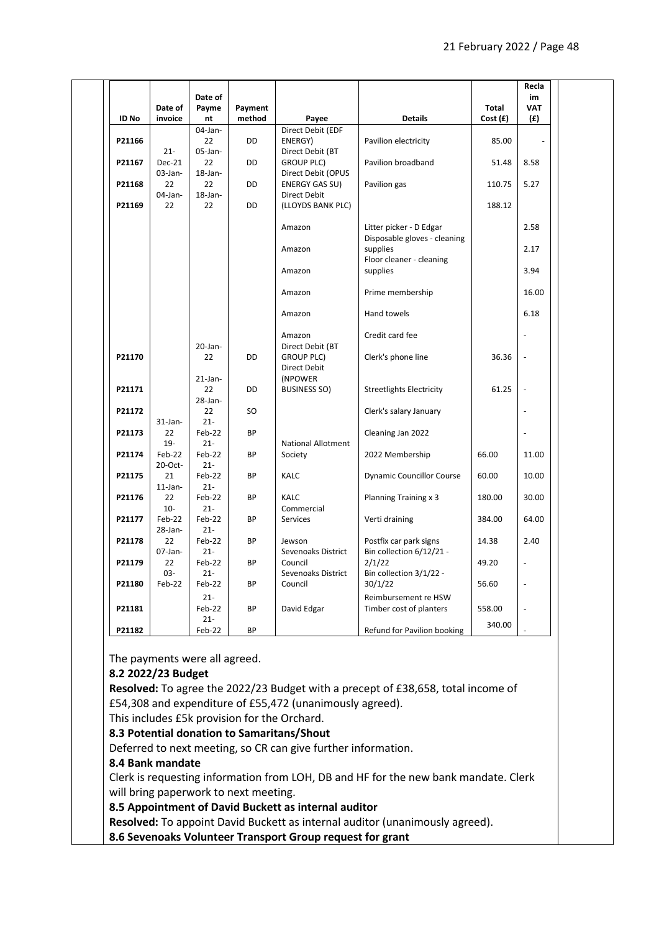|              |                   | Date of          |           |                                       |                                   |         | Recla<br>im    |  |
|--------------|-------------------|------------------|-----------|---------------------------------------|-----------------------------------|---------|----------------|--|
|              | Date of           | Payme            | Payment   |                                       |                                   | Total   | <b>VAT</b>     |  |
| <b>ID No</b> | invoice           | nt               | method    | Payee                                 | <b>Details</b>                    | Cost(f) | (f)            |  |
|              |                   | $04$ -Jan-       |           | Direct Debit (EDF                     |                                   |         |                |  |
| P21166       |                   | 22               | <b>DD</b> | ENERGY)                               | Pavilion electricity              | 85.00   |                |  |
|              | $21 -$            | $05$ -Jan-       |           | Direct Debit (BT                      |                                   |         |                |  |
| P21167       | Dec-21            | 22               | DD        | <b>GROUP PLC)</b>                     | Pavilion broadband                | 51.48   | 8.58           |  |
| P21168       | 03-Jan-<br>22     | $18$ -Jan-<br>22 | DD        | Direct Debit (OPUS                    | Pavilion gas                      | 110.75  | 5.27           |  |
|              | 04-Jan-           | $18$ -Jan-       |           | ENERGY GAS SU)<br>Direct Debit        |                                   |         |                |  |
| P21169       | 22                | 22               | <b>DD</b> | (LLOYDS BANK PLC)                     |                                   | 188.12  |                |  |
|              |                   |                  |           |                                       |                                   |         |                |  |
|              |                   |                  |           | Amazon                                | Litter picker - D Edgar           |         | 2.58           |  |
|              |                   |                  |           |                                       | Disposable gloves - cleaning      |         |                |  |
|              |                   |                  |           | Amazon                                | supplies                          |         | 2.17           |  |
|              |                   |                  |           |                                       | Floor cleaner - cleaning          |         |                |  |
|              |                   |                  |           | Amazon                                | supplies                          |         | 3.94           |  |
|              |                   |                  |           | Amazon                                | Prime membership                  |         | 16.00          |  |
|              |                   |                  |           |                                       |                                   |         |                |  |
|              |                   |                  |           | Amazon                                | Hand towels                       |         | 6.18           |  |
|              |                   |                  |           |                                       |                                   |         |                |  |
|              |                   | $20$ -Jan-       |           | Amazon                                | Credit card fee                   |         |                |  |
| P21170       |                   | 22               | DD        | Direct Debit (BT<br><b>GROUP PLC)</b> | Clerk's phone line                | 36.36   |                |  |
|              |                   |                  |           | Direct Debit                          |                                   |         |                |  |
|              |                   | $21$ -Jan-       |           | (NPOWER                               |                                   |         |                |  |
| P21171       |                   | 22               | <b>DD</b> | BUSINESS SO)                          | <b>Streetlights Electricity</b>   | 61.25   |                |  |
|              |                   | $28$ -Jan-       |           |                                       |                                   |         |                |  |
| P21172       |                   | 22               | SO.       |                                       | Clerk's salary January            |         | $\blacksquare$ |  |
|              | $31$ -Jan-        | $21 -$           |           |                                       |                                   |         |                |  |
| P21173       | 22                | Feb-22           | BP        |                                       | Cleaning Jan 2022                 |         | $\overline{a}$ |  |
| P21174       | $19-$             | $21 -$           |           | <b>National Allotment</b>             |                                   |         |                |  |
|              | Feb-22<br>20-Oct- | Feb-22<br>$21 -$ | BP        | Society                               | 2022 Membership                   | 66.00   | 11.00          |  |
| P21175       | 21                | Feb-22           | <b>BP</b> | <b>KALC</b>                           | <b>Dynamic Councillor Course</b>  | 60.00   | 10.00          |  |
|              | $11$ -Jan-        | $21 -$           |           |                                       |                                   |         |                |  |
| P21176       | 22                | Feb-22           | <b>BP</b> | <b>KALC</b>                           | Planning Training x 3             | 180.00  | 30.00          |  |
|              | $10 -$            | $21 -$           |           | Commercial                            |                                   |         |                |  |
| P21177       | Feb-22            | Feb-22           | <b>BP</b> | <b>Services</b>                       | Verti draining                    | 384.00  | 64.00          |  |
|              | $28$ -Jan-        | $21 -$           |           |                                       |                                   |         |                |  |
| P21178       | 22                | Feb-22           | <b>BP</b> | Jewson                                | Postfix car park signs            | 14.38   | 2.40           |  |
|              | 07-Jan-           | $21 -$           |           | Sevenoaks District                    | Bin collection 6/12/21 -          |         |                |  |
| P21179       | 22<br>$03 -$      | Feb-22<br>$21 -$ | <b>BP</b> | Council<br>Sevenoaks District         | 2/1/22<br>Bin collection 3/1/22 - | 49.20   |                |  |
| P21180       | Feb-22            | Feb-22           | BP        | Council                               | 30/1/22                           | 56.60   | $\overline{a}$ |  |
|              |                   | $21 -$           |           |                                       | Reimbursement re HSW              |         |                |  |
| P21181       |                   | Feb-22           | <b>BP</b> | David Edgar                           | Timber cost of planters           | 558.00  |                |  |
|              |                   | $21 -$           |           |                                       |                                   |         |                |  |
| P21182       |                   | Feb-22           | BP        |                                       | Refund for Pavilion booking       | 340.00  |                |  |
|              |                   |                  |           |                                       |                                   |         |                |  |

The payments were all agreed.

### **8.2 2022/23 Budget**

**Resolved:** To agree the 2022/23 Budget with a precept of £38,658, total income of £54,308 and expenditure of £55,472 (unanimously agreed).

This includes £5k provision for the Orchard.

### **8.3 Potential donation to Samaritans/Shout**

Deferred to next meeting, so CR can give further information.

## **8.4 Bank mandate**

Clerk is requesting information from LOH, DB and HF for the new bank mandate. Clerk will bring paperwork to next meeting.

### **8.5 Appointment of David Buckett as internal auditor**

**Resolved:** To appoint David Buckett as internal auditor (unanimously agreed).

**8.6 Sevenoaks Volunteer Transport Group request for grant**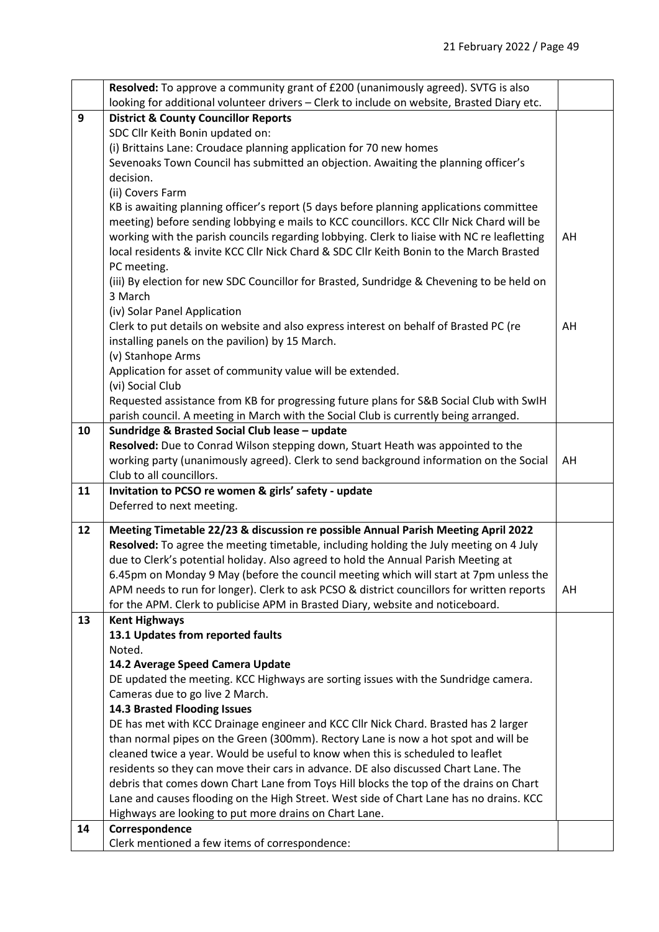|    | Resolved: To approve a community grant of £200 (unanimously agreed). SVTG is also           |    |
|----|---------------------------------------------------------------------------------------------|----|
|    | looking for additional volunteer drivers - Clerk to include on website, Brasted Diary etc.  |    |
| 9  | <b>District &amp; County Councillor Reports</b>                                             |    |
|    | SDC Cllr Keith Bonin updated on:                                                            |    |
|    | (i) Brittains Lane: Croudace planning application for 70 new homes                          |    |
|    | Sevenoaks Town Council has submitted an objection. Awaiting the planning officer's          |    |
|    | decision.                                                                                   |    |
|    | (ii) Covers Farm                                                                            |    |
|    | KB is awaiting planning officer's report (5 days before planning applications committee     |    |
|    | meeting) before sending lobbying e mails to KCC councillors. KCC Cllr Nick Chard will be    |    |
|    | working with the parish councils regarding lobbying. Clerk to liaise with NC re leafletting | AH |
|    | local residents & invite KCC Cllr Nick Chard & SDC Cllr Keith Bonin to the March Brasted    |    |
|    | PC meeting.                                                                                 |    |
|    | (iii) By election for new SDC Councillor for Brasted, Sundridge & Chevening to be held on   |    |
|    | 3 March                                                                                     |    |
|    | (iv) Solar Panel Application                                                                |    |
|    | Clerk to put details on website and also express interest on behalf of Brasted PC (re       | AH |
|    | installing panels on the pavilion) by 15 March.                                             |    |
|    | (v) Stanhope Arms                                                                           |    |
|    | Application for asset of community value will be extended.                                  |    |
|    | (vi) Social Club                                                                            |    |
|    | Requested assistance from KB for progressing future plans for S&B Social Club with SwIH     |    |
|    | parish council. A meeting in March with the Social Club is currently being arranged.        |    |
| 10 | Sundridge & Brasted Social Club lease - update                                              |    |
|    | Resolved: Due to Conrad Wilson stepping down, Stuart Heath was appointed to the             |    |
|    | working party (unanimously agreed). Clerk to send background information on the Social      | AH |
|    | Club to all councillors.                                                                    |    |
| 11 | Invitation to PCSO re women & girls' safety - update                                        |    |
|    | Deferred to next meeting.                                                                   |    |
| 12 | Meeting Timetable 22/23 & discussion re possible Annual Parish Meeting April 2022           |    |
|    | Resolved: To agree the meeting timetable, including holding the July meeting on 4 July      |    |
|    | due to Clerk's potential holiday. Also agreed to hold the Annual Parish Meeting at          |    |
|    | 6.45pm on Monday 9 May (before the council meeting which will start at 7pm unless the       |    |
|    | APM needs to run for longer). Clerk to ask PCSO & district councillors for written reports  | AH |
|    | for the APM. Clerk to publicise APM in Brasted Diary, website and noticeboard.              |    |
| 13 | <b>Kent Highways</b>                                                                        |    |
|    | 13.1 Updates from reported faults                                                           |    |
|    | Noted.                                                                                      |    |
|    | 14.2 Average Speed Camera Update                                                            |    |
|    | DE updated the meeting. KCC Highways are sorting issues with the Sundridge camera.          |    |
|    | Cameras due to go live 2 March.                                                             |    |
|    | 14.3 Brasted Flooding Issues                                                                |    |
|    | DE has met with KCC Drainage engineer and KCC Cllr Nick Chard. Brasted has 2 larger         |    |
|    | than normal pipes on the Green (300mm). Rectory Lane is now a hot spot and will be          |    |
|    | cleaned twice a year. Would be useful to know when this is scheduled to leaflet             |    |
|    | residents so they can move their cars in advance. DE also discussed Chart Lane. The         |    |
|    | debris that comes down Chart Lane from Toys Hill blocks the top of the drains on Chart      |    |
|    |                                                                                             |    |
|    | Lane and causes flooding on the High Street. West side of Chart Lane has no drains. KCC     |    |
|    | Highways are looking to put more drains on Chart Lane.                                      |    |
| 14 | Correspondence<br>Clerk mentioned a few items of correspondence:                            |    |